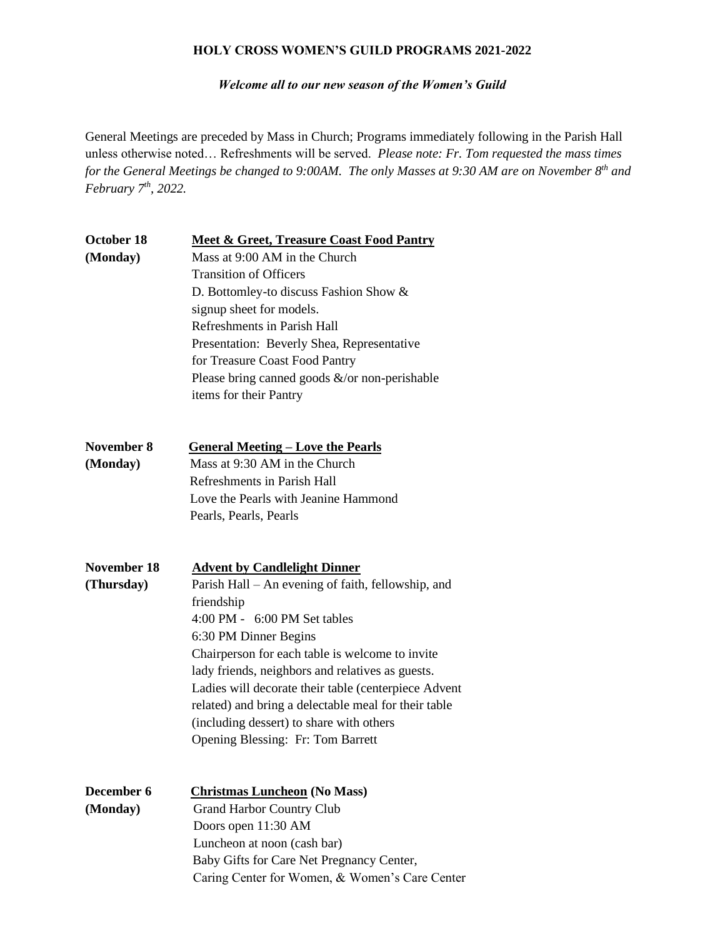#### **HOLY CROSS WOMEN'S GUILD PROGRAMS 2021-2022**

*Welcome all to our new season of the Women's Guild*

General Meetings are preceded by Mass in Church; Programs immediately following in the Parish Hall unless otherwise noted… Refreshments will be served. *Please note: Fr. Tom requested the mass times for the General Meetings be changed to 9:00AM. The only Masses at 9:30 AM are on November 8th and February 7th, 2022.*

| October 18         | <b>Meet &amp; Greet, Treasure Coast Food Pantry</b>  |  |  |
|--------------------|------------------------------------------------------|--|--|
| (Monday)           | Mass at 9:00 AM in the Church                        |  |  |
|                    | <b>Transition of Officers</b>                        |  |  |
|                    | D. Bottomley-to discuss Fashion Show &               |  |  |
|                    | signup sheet for models.                             |  |  |
|                    | Refreshments in Parish Hall                          |  |  |
|                    | Presentation: Beverly Shea, Representative           |  |  |
|                    | for Treasure Coast Food Pantry                       |  |  |
|                    | Please bring canned goods $\&$ /or non-perishable    |  |  |
|                    | items for their Pantry                               |  |  |
| <b>November 8</b>  | <b>General Meeting - Love the Pearls</b>             |  |  |
| (Monday)           | Mass at 9:30 AM in the Church                        |  |  |
|                    | Refreshments in Parish Hall                          |  |  |
|                    | Love the Pearls with Jeanine Hammond                 |  |  |
|                    | Pearls, Pearls, Pearls                               |  |  |
| <b>November 18</b> | <b>Advent by Candlelight Dinner</b>                  |  |  |
| (Thursday)         | Parish Hall – An evening of faith, fellowship, and   |  |  |
|                    | friendship                                           |  |  |
|                    | 4:00 PM - 6:00 PM Set tables                         |  |  |
|                    | 6:30 PM Dinner Begins                                |  |  |
|                    | Chairperson for each table is welcome to invite      |  |  |
|                    | lady friends, neighbors and relatives as guests.     |  |  |
|                    | Ladies will decorate their table (centerpiece Advent |  |  |
|                    | related) and bring a delectable meal for their table |  |  |
|                    | (including dessert) to share with others             |  |  |
|                    | <b>Opening Blessing: Fr: Tom Barrett</b>             |  |  |
| <b>December 6</b>  | <b>Christmas Luncheon (No Mass)</b>                  |  |  |
| (Monday)           | <b>Grand Harbor Country Club</b>                     |  |  |
|                    | Doors open 11:30 AM                                  |  |  |
|                    | Luncheon at noon (cash bar)                          |  |  |
|                    | Baby Gifts for Care Net Pregnancy Center,            |  |  |
|                    | Caring Center for Women, & Women's Care Center       |  |  |
|                    |                                                      |  |  |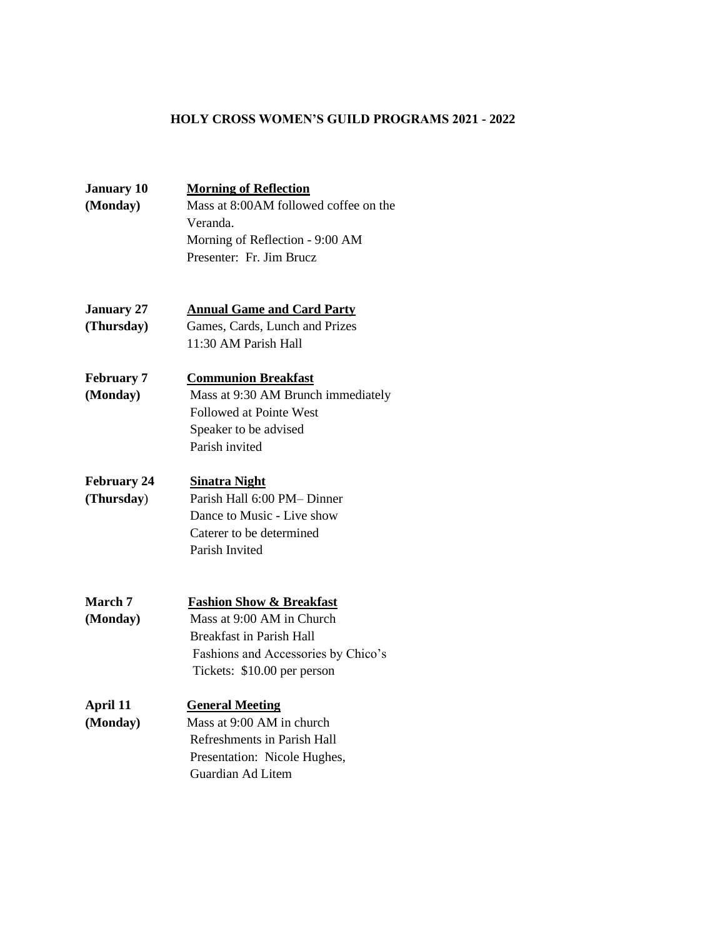## **HOLY CROSS WOMEN'S GUILD PROGRAMS 2021 - 2022**

| <b>January 10</b>  | <b>Morning of Reflection</b>                                     |  |  |
|--------------------|------------------------------------------------------------------|--|--|
| (Monday)           | Mass at 8:00AM followed coffee on the                            |  |  |
|                    | Veranda.                                                         |  |  |
|                    | Morning of Reflection - 9:00 AM                                  |  |  |
|                    | Presenter: Fr. Jim Brucz                                         |  |  |
|                    |                                                                  |  |  |
| <b>January 27</b>  | <b>Annual Game and Card Party</b>                                |  |  |
| (Thursday)         | Games, Cards, Lunch and Prizes                                   |  |  |
|                    | 11:30 AM Parish Hall                                             |  |  |
| <b>February 7</b>  | <b>Communion Breakfast</b>                                       |  |  |
| (Monday)           | Mass at 9:30 AM Brunch immediately                               |  |  |
|                    | Followed at Pointe West                                          |  |  |
|                    | Speaker to be advised                                            |  |  |
|                    | Parish invited                                                   |  |  |
| <b>February 24</b> | <b>Sinatra Night</b>                                             |  |  |
| (Thursday)         | Parish Hall 6:00 PM-Dinner                                       |  |  |
|                    | Dance to Music - Live show                                       |  |  |
|                    | Caterer to be determined                                         |  |  |
|                    | Parish Invited                                                   |  |  |
|                    |                                                                  |  |  |
| March 7            | <b>Fashion Show &amp; Breakfast</b><br>Mass at 9:00 AM in Church |  |  |
| (Monday)           | <b>Breakfast in Parish Hall</b>                                  |  |  |
|                    | Fashions and Accessories by Chico's                              |  |  |
|                    | Tickets: \$10.00 per person                                      |  |  |
|                    |                                                                  |  |  |
| April 11           | <b>General Meeting</b>                                           |  |  |
| (Monday)           | Mass at 9:00 AM in church                                        |  |  |
|                    | Refreshments in Parish Hall                                      |  |  |
|                    | Presentation: Nicole Hughes,                                     |  |  |
|                    | Guardian Ad Litem                                                |  |  |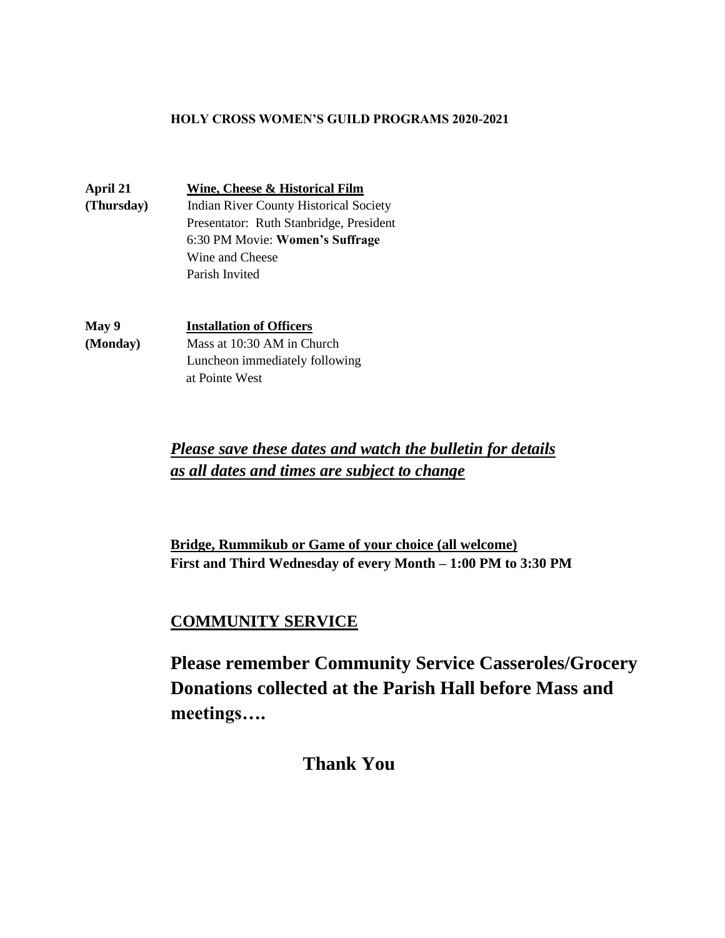### **HOLY CROSS WOMEN'S GUILD PROGRAMS 2020-2021**

**April 21 Wine, Cheese & Historical Film (Thursday)** Indian River County Historical Society Presentator: Ruth Stanbridge, President 6:30 PM Movie: **Women's Suffrage** Wine and Cheese Parish Invited

**May 9 Installation of Officers (Monday)** Mass at 10:30 AM in Church Luncheon immediately following at Pointe West

> *Please save these dates and watch the bulletin for details as all dates and times are subject to change*

**Bridge, Rummikub or Game of your choice (all welcome) First and Third Wednesday of every Month – 1:00 PM to 3:30 PM**

# **COMMUNITY SERVICE**

**Please remember Community Service Casseroles/Grocery Donations collected at the Parish Hall before Mass and meetings….**

 **Thank You**